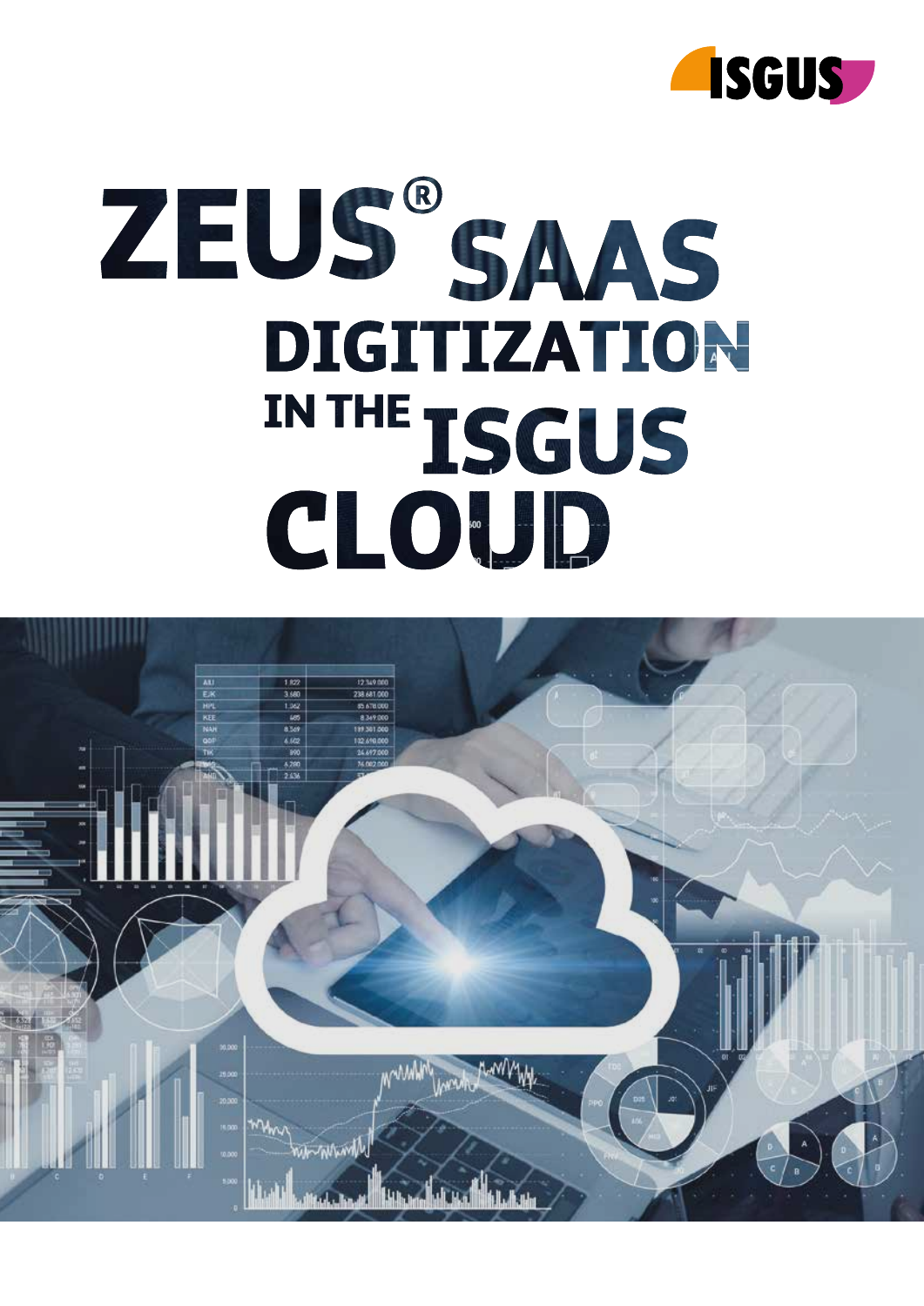

# ZEUS®SAAS DIGITIZATION IN THE TSGUS CLOUD.

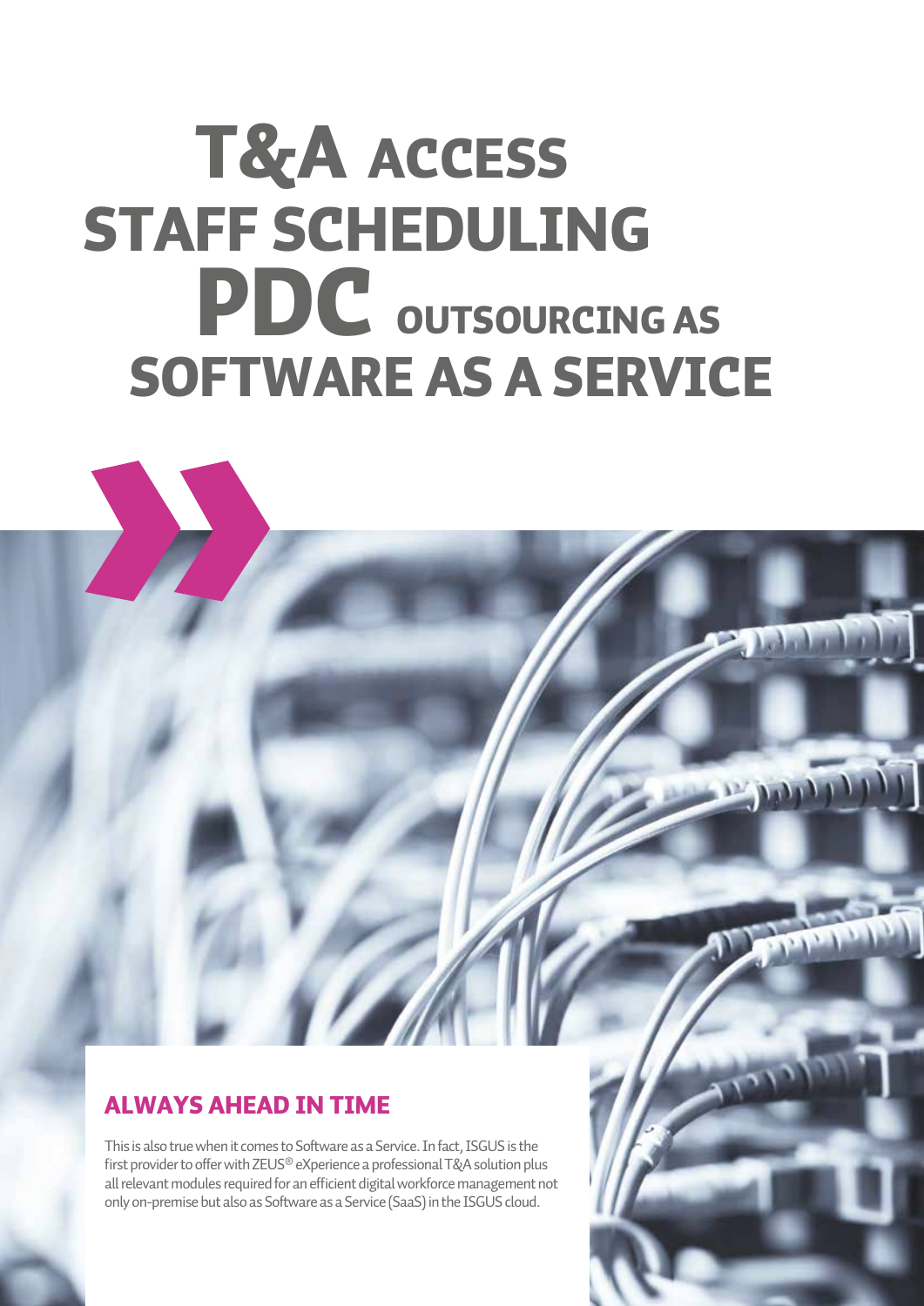### T&A ACCESS STAFF SCHEDULING **PDC**<br>SOFTWAR OUTSOURCING AS SOFTWARE AS A SERVICE

**Part Andrew** 

#### ALWAYS AHEAD IN TIME

This is also true when it comes to Software as a Service. In fact, ISGUS is the first provider to offer with ZEUS® eXperience a professional T&A solution plus all relevant modules required for an efficient digital workforce management not only on-premise but also as Software as a Service (SaaS) in the ISGUS cloud.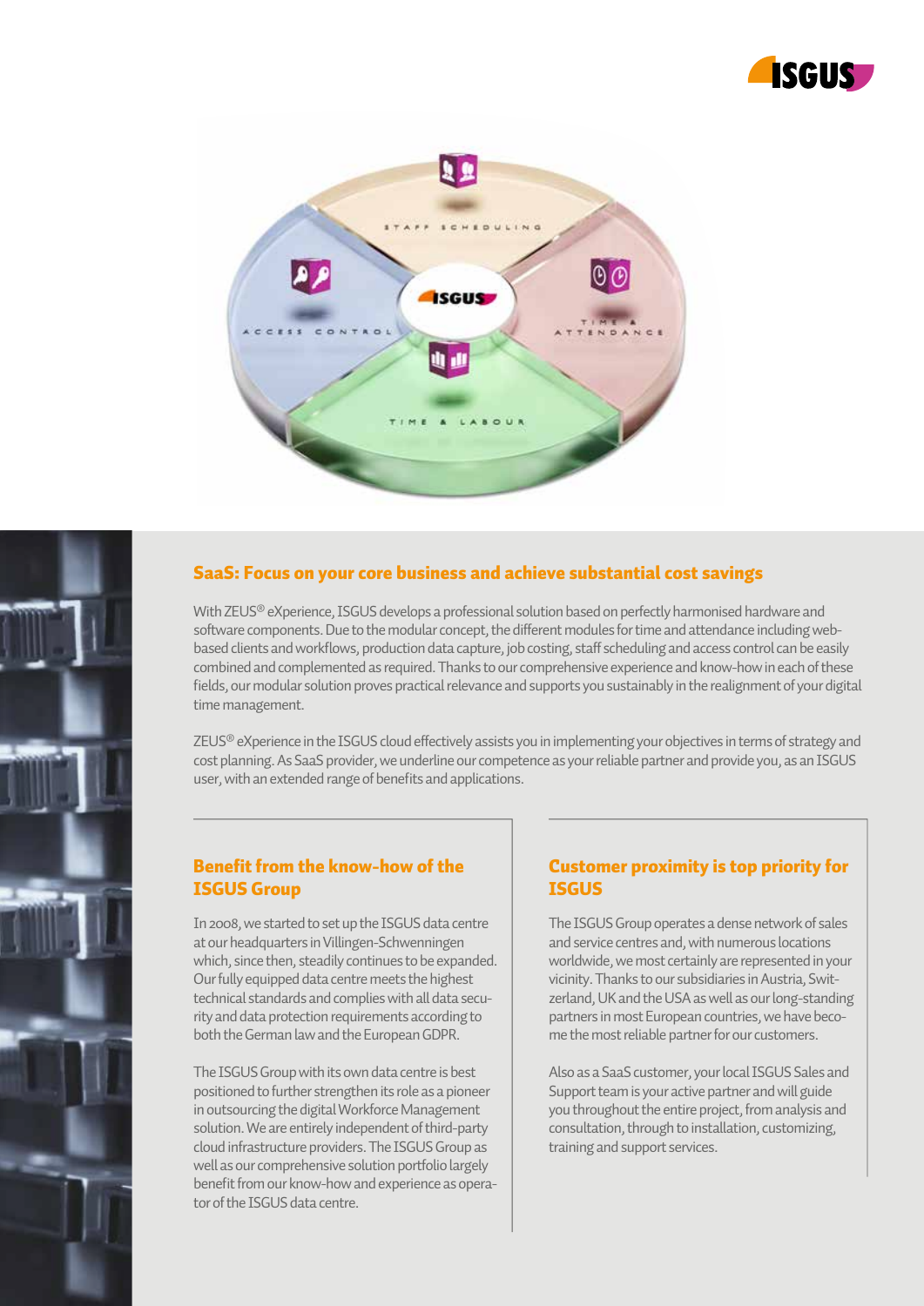



#### SaaS: Focus on your core business and achieve substantial cost savings

With ZEUS® eXperience, ISGUS develops a professional solution based on perfectly harmonised hardware and software components. Due to the modular concept, the different modules for time and attendance including webbased clients and workflows, production data capture, job costing, staff scheduling and access control can be easily combined and complemented as required. Thanks to our comprehensive experience and know-how in each of these fields, our modular solution proves practical relevance and supports you sustainably in the realignment of your digital time management.

ZEUS<sup>®</sup> eXperience in the ISGUS cloud effectively assists you in implementing your objectives in terms of strategy and cost planning. As SaaS provider, we underline our competence as your reliable partner and provide you, as an ISGUS user, with an extended range of benefits and applications.

#### Benefit from the know-how of the ISGUS Group

In 2008, we started to set up the ISGUS data centre at our headquarters in Villingen-Schwenningen which, since then, steadily continues to be expanded. Our fully equipped data centre meets the highest technical standards and complies with all data security and data protection requirements according to both the German law and the European GDPR.

The ISGUS Group with its own data centre is best positioned to further strengthen its role as a pioneer in outsourcing the digital Workforce Management solution. We are entirely independent of third-party cloud infrastructure providers. The ISGUS Group as well as our comprehensive solution portfolio largely benefit from our know-how and experience as operator of the ISGUS data centre.

#### Customer proximity is top priority for **ISGUS**

The ISGUS Group operates a dense network of sales and service centres and, with numerous locations worldwide, we most certainly are represented in your vicinity. Thanks to our subsidiaries in Austria, Switzerland, UK and the USA as well as our long-standing partners in most European countries, we have become the most reliable partner for our customers.

Also as a SaaS customer, your local ISGUS Sales and Support team is your active partner and will guide you throughout the entire project, from analysis and consultation, through to installation, customizing, training and support services.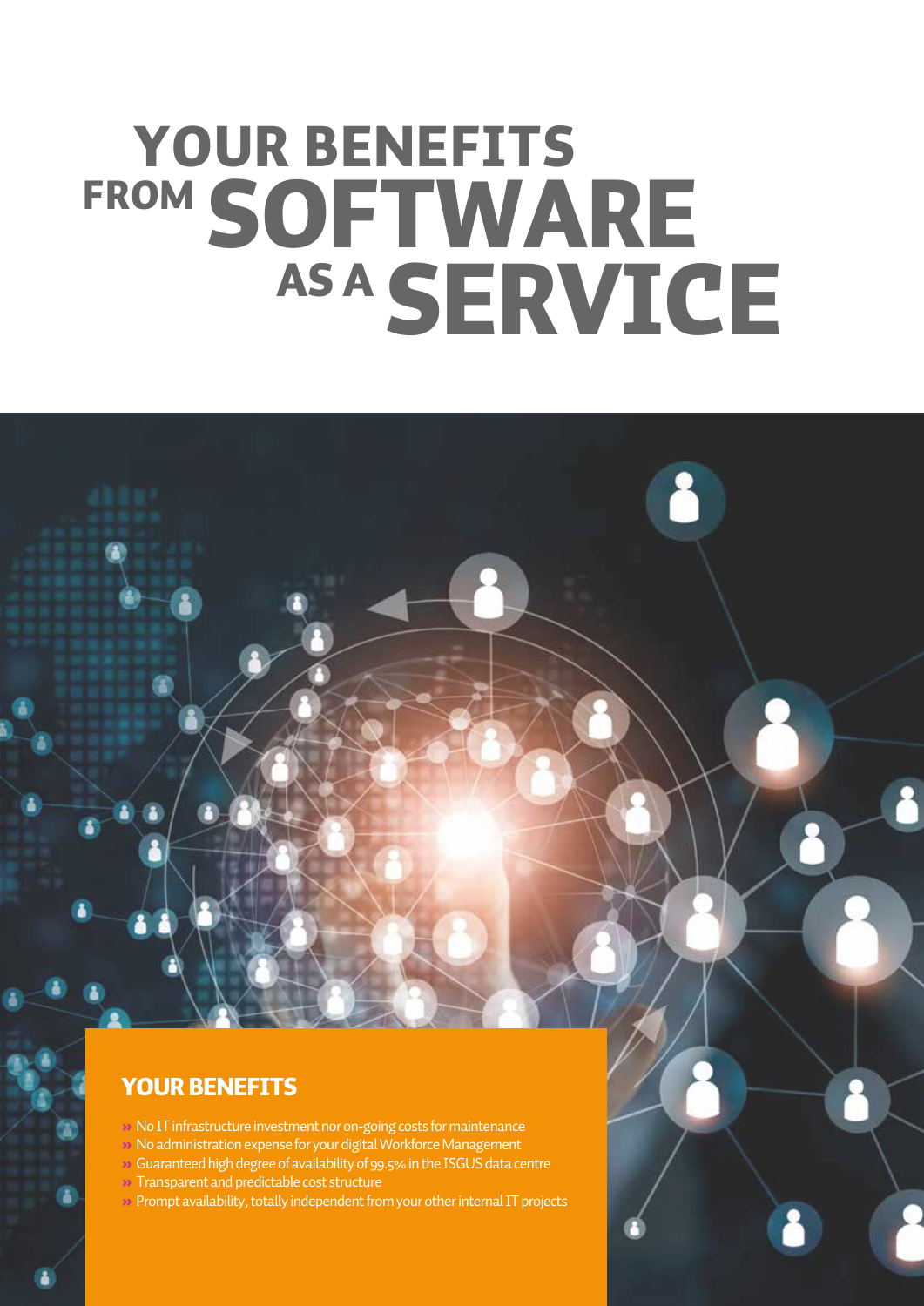## YOUR BENEFITS FROM SOFTWARE AS A SERVICE

#### YOUR BENEFITS

- » No IT infrastructure investment nor on-going costs for maintenance
- » No administration expense for your digital Workforce Management
- » Guaranteed high degree of availability of 99.5% in the ISGUS data centre
- » Transparent and predictable cost structure
- » Prompt availability, totally independent from your other internal IT projects

l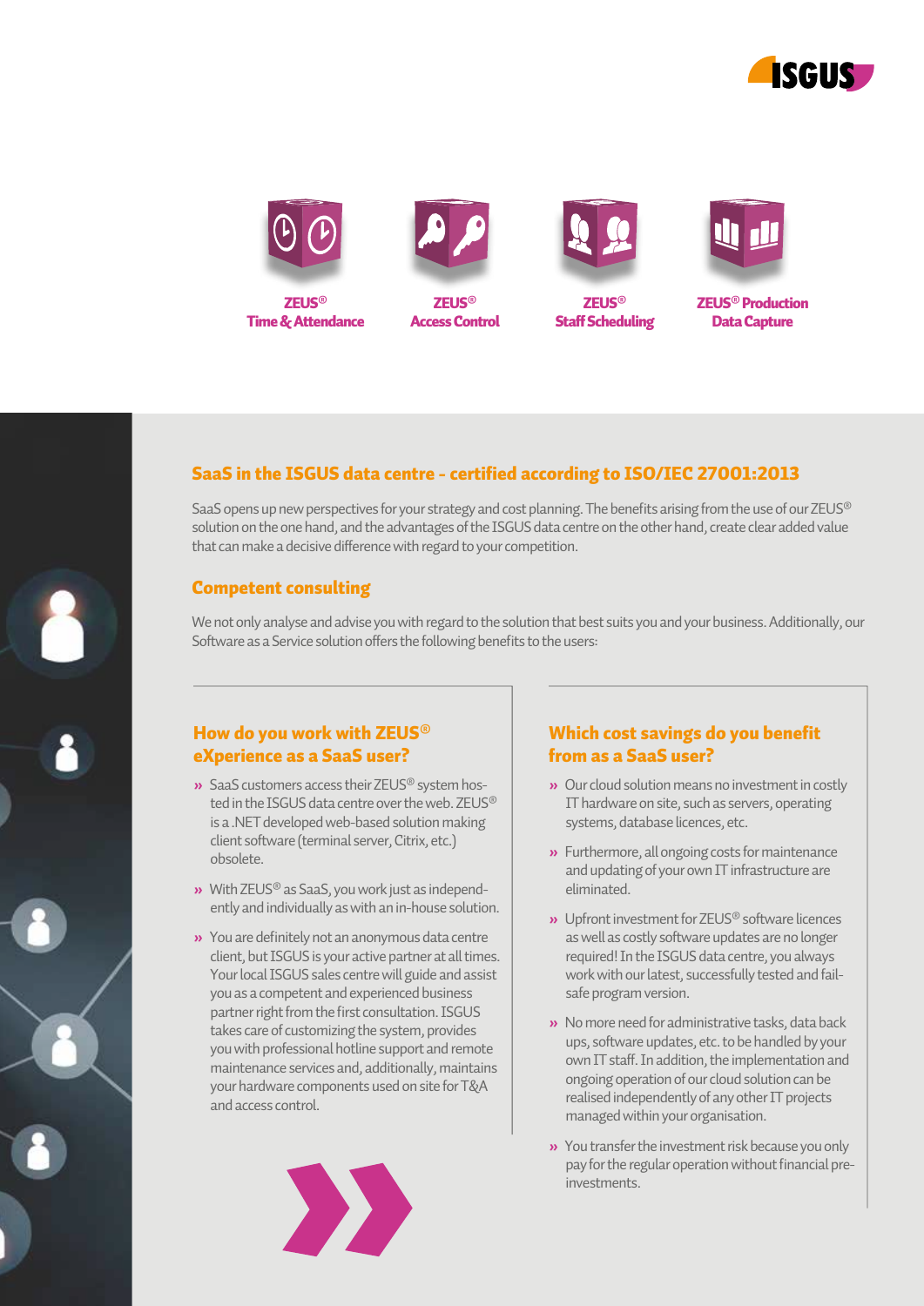





Access Control



**ZELIC®** Staff Scheduling



ZEUS® Production Data Capture

#### SaaS in the ISGUS data centre - certified according to ISO/IEC 27001:2013

SaaS opens up new perspectives for your strategy and cost planning. The benefits arising from the use of our ZEUS® solution on the one hand, and the advantages of the ISGUS data centre on the other hand, create clear added value that can make a decisive difference with regard to your competition.

#### Competent consulting

We not only analyse and advise you with regard to the solution that best suits you and your business. Additionally, our Software as a Service solution offers the following benefits to the users:

#### How do you work with ZEUS® eXperience as a SaaS user?

- **»** SaaS customers access their ZEUS® system hos ted in the ISGUS data centre over the web. ZEUS® is a .NET developed web-based solution making client software (terminal server, Citrix, etc.) obsolete.
- **»** With ZEUS® as SaaS, you work just as independ ently and individually as with an in-house solution.
- **»** You are definitely not an anonymous data centre client, but ISGUS is your active partner at all times. Your local ISGUS sales centre will guide and assist you as a competent and experienced business partner right from the first consultation. ISGUS takes care of customizing the system, provides you with professional hotline support and remote maintenance services and, additionally, maintains your hardware components used on site for T&A and access control.



#### Which cost savings do you benefit from as a SaaS user?

- **»** Our cloud solution means no investment in costly IT hardware on site, such as servers, operating systems, database licences, etc.
- **»** Furthermore, all ongoing costs for maintenance and updating of your own IT infrastructure are eliminated.
- **»** Upfront investment for ZEUS® software licences as well as costly software updates are no longer required! In the ISGUS data centre, you always work with our latest, successfully tested and fail safe program version.
- **»** No more need for administrative tasks, data back ups, software updates, etc. to be handled by your own IT staff. In addition, the implementation and ongoing operation of our cloud solution can be realised independently of any other IT projects managed within your organisation.
- **»** You transfer the investment risk because you only pay for the regular operation without financial pre investments.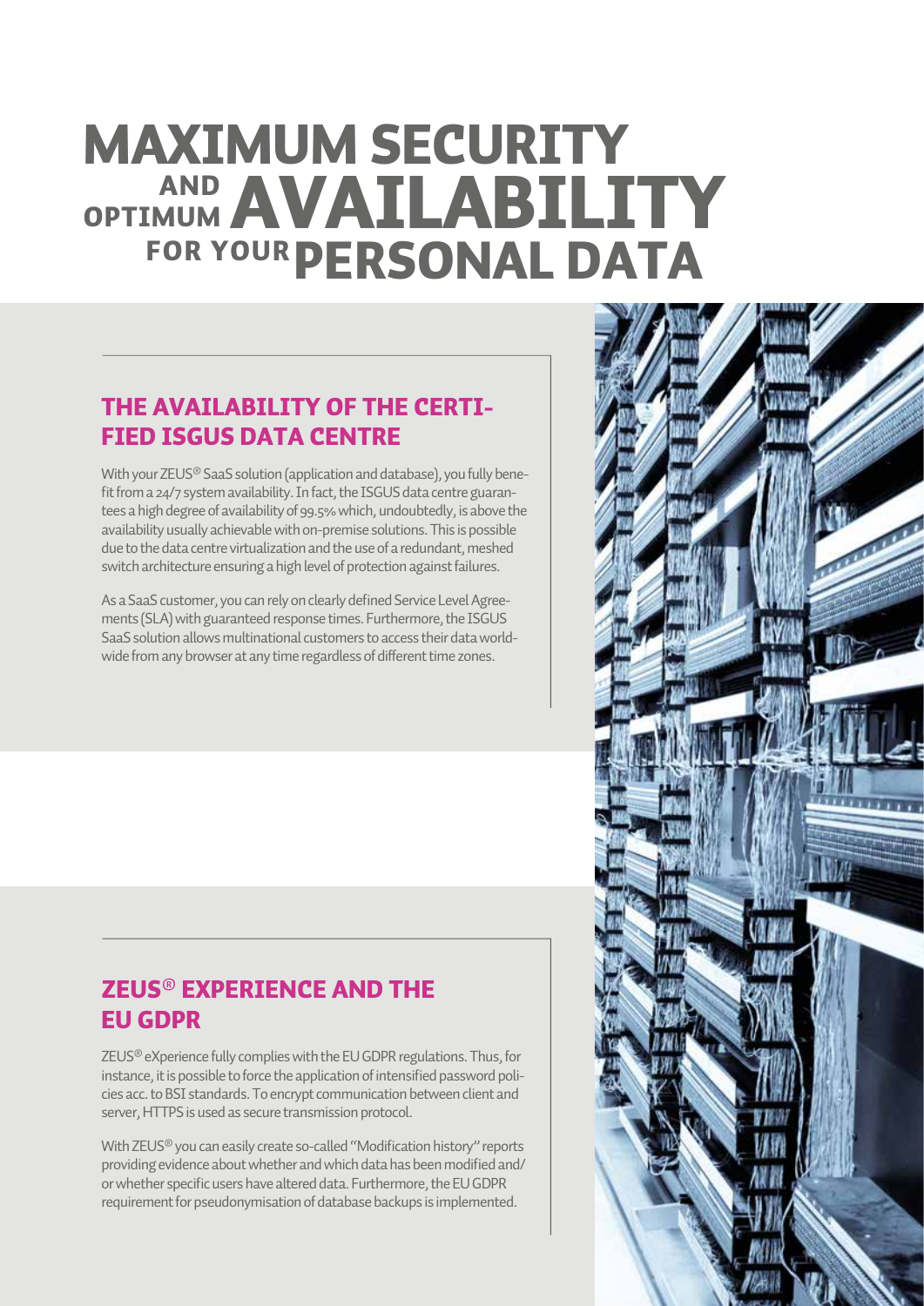## MAXIMUM SECURITY I **AND AVAILABILITY**<br>FOR YOUR PERSONAL DATA

#### THE AVAILABILITY OF THE CERTI-FIED ISGUS DATA CENTRE

With your ZEUS® SaaS solution (application and database), you fully benefit from a 24/7 system availability. In fact, the ISGUS data centre guarantees a high degree of availability of 99.5% which, undoubtedly, is above the availability usually achievable with on-premise solutions. This is possible due to the data centre virtualization and the use of a redundant, meshed switch architecture ensuring a high level of protection against failures.

As a SaaS customer, you can rely on clearly defined Service Level Agreements (SLA) with guaranteed response times. Furthermore, the ISGUS SaaS solution allows multinational customers to access their data worldwide from any browser at any time regardless of different time zones.

#### ZEUS**®** EXPERIENCE AND THE EU GDPR

ZEUS® eXperience fully complies with the EU GDPR regulations. Thus, for instance, it is possible to force the application of intensified password policies acc. to BSI standards. To encrypt communication between client and server, HTTPS is used as secure transmission protocol.

With ZEUS<sup>®</sup> you can easily create so-called "Modification history" reports providing evidence about whether and which data has been modified and/ or whether specific users have altered data. Furthermore, the EU GDPR requirement for pseudonymisation of database backups is implemented.

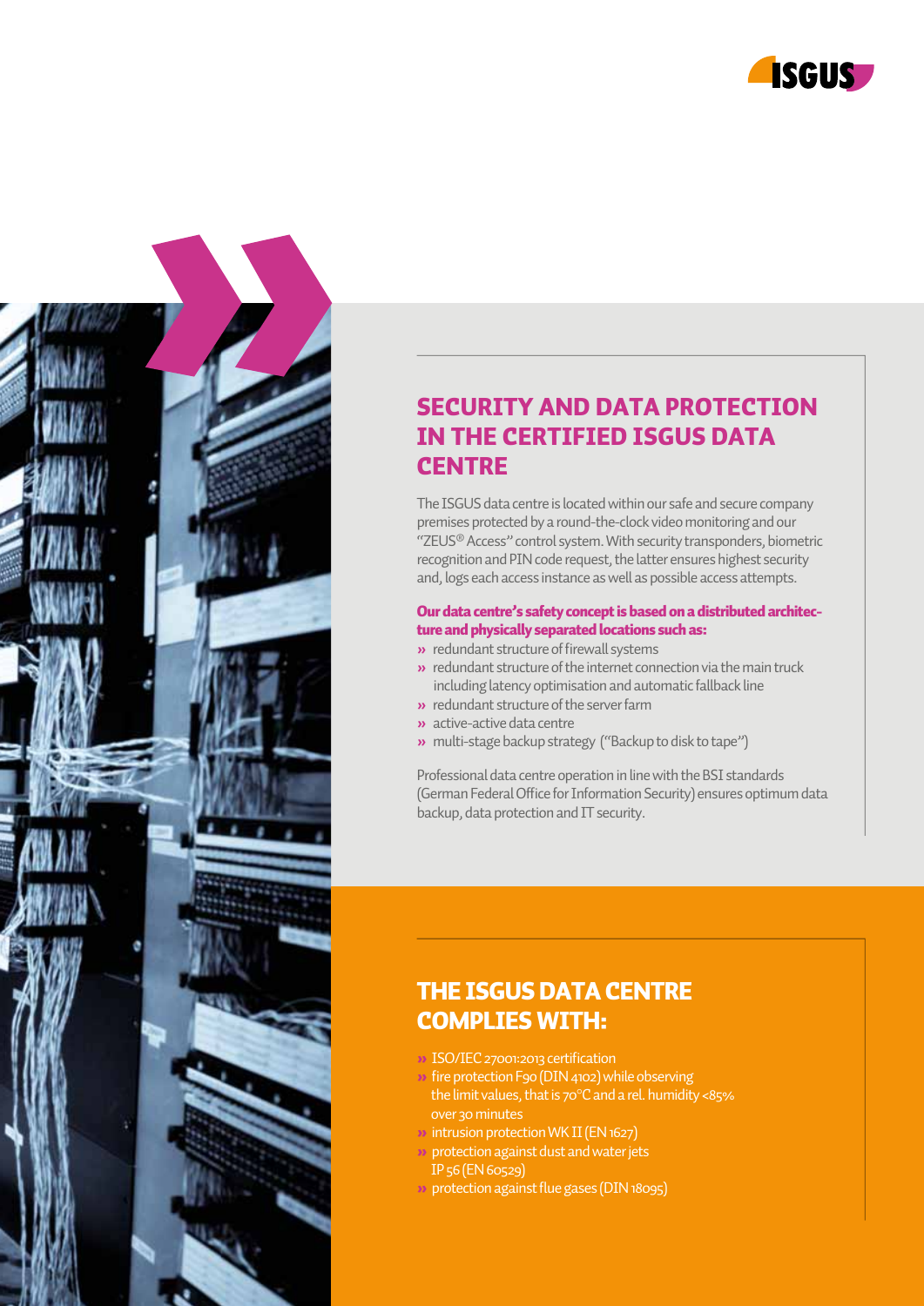



#### SECURITY AND DATA PROTECTION IN THE CERTIFIED ISGUS DATA **CENTRE**

The ISGUS data centre is located within our safe and secure company premises protected by a round-the-clock video monitoring and our "ZEUS® Access" control system. With security transponders, biometric recognition and PIN code request, the latter ensures highest security and, logs each access instance as well as possible access attempts.

#### Our data centre's safety concept is based on a distributed architecture and physically separated locations such as:

- **»** redundant structure of firewall systems
- **»** redundant structure of the internet connection via the main truck including latency optimisation and automatic fallback line
- **»** redundant structure of the server farm
- **»** active-active data centre
- **»** multi-stage backup strategy ("Backup to disk to tape")

Professional data centre operation in line with the BSI standards (German Federal Office for Information Security) ensures optimum data backup, data protection and IT security.

#### THE ISGUS DATA CENTRE COMPLIES WITH:

- » ISO/IEC 27001:2013 certification
- » fire protection F9o (DIN 4102) while observing the limit values, that is 70°C and a rel. humidity <85% over 30 minutes
- » intrusion protection WK II (EN 1627)
- » protection against dust and water jets IP 56 (EN 60529)
- » protection against flue gases (DIN 18095)